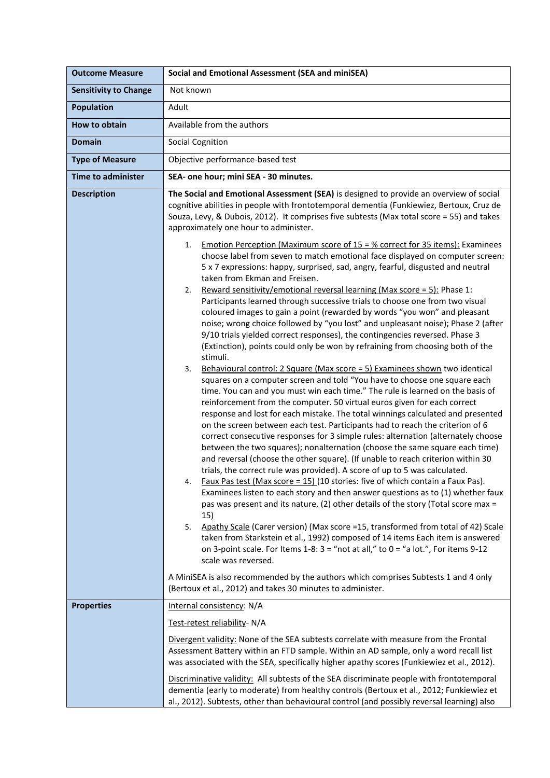| <b>Outcome Measure</b>       | Social and Emotional Assessment (SEA and miniSEA)                                                                                                                                                                                                                                                                                                                                                                                                                                                                                                                                                                                                                                                                                                                                                                                                                                                                                                                                                                                                                                                                                                                                                                                                                                                                                                                                                                                                                                                                                                                                                                                                                                                                                                                                                                                                                                                                                                                                                                                                                                                                                                                                                                                                                                                                                                                                                                                                                                                                                                                                                                                                                                                              |
|------------------------------|----------------------------------------------------------------------------------------------------------------------------------------------------------------------------------------------------------------------------------------------------------------------------------------------------------------------------------------------------------------------------------------------------------------------------------------------------------------------------------------------------------------------------------------------------------------------------------------------------------------------------------------------------------------------------------------------------------------------------------------------------------------------------------------------------------------------------------------------------------------------------------------------------------------------------------------------------------------------------------------------------------------------------------------------------------------------------------------------------------------------------------------------------------------------------------------------------------------------------------------------------------------------------------------------------------------------------------------------------------------------------------------------------------------------------------------------------------------------------------------------------------------------------------------------------------------------------------------------------------------------------------------------------------------------------------------------------------------------------------------------------------------------------------------------------------------------------------------------------------------------------------------------------------------------------------------------------------------------------------------------------------------------------------------------------------------------------------------------------------------------------------------------------------------------------------------------------------------------------------------------------------------------------------------------------------------------------------------------------------------------------------------------------------------------------------------------------------------------------------------------------------------------------------------------------------------------------------------------------------------------------------------------------------------------------------------------------------------|
| <b>Sensitivity to Change</b> | Not known                                                                                                                                                                                                                                                                                                                                                                                                                                                                                                                                                                                                                                                                                                                                                                                                                                                                                                                                                                                                                                                                                                                                                                                                                                                                                                                                                                                                                                                                                                                                                                                                                                                                                                                                                                                                                                                                                                                                                                                                                                                                                                                                                                                                                                                                                                                                                                                                                                                                                                                                                                                                                                                                                                      |
| <b>Population</b>            | Adult                                                                                                                                                                                                                                                                                                                                                                                                                                                                                                                                                                                                                                                                                                                                                                                                                                                                                                                                                                                                                                                                                                                                                                                                                                                                                                                                                                                                                                                                                                                                                                                                                                                                                                                                                                                                                                                                                                                                                                                                                                                                                                                                                                                                                                                                                                                                                                                                                                                                                                                                                                                                                                                                                                          |
| How to obtain                | Available from the authors                                                                                                                                                                                                                                                                                                                                                                                                                                                                                                                                                                                                                                                                                                                                                                                                                                                                                                                                                                                                                                                                                                                                                                                                                                                                                                                                                                                                                                                                                                                                                                                                                                                                                                                                                                                                                                                                                                                                                                                                                                                                                                                                                                                                                                                                                                                                                                                                                                                                                                                                                                                                                                                                                     |
| Domain                       | <b>Social Cognition</b>                                                                                                                                                                                                                                                                                                                                                                                                                                                                                                                                                                                                                                                                                                                                                                                                                                                                                                                                                                                                                                                                                                                                                                                                                                                                                                                                                                                                                                                                                                                                                                                                                                                                                                                                                                                                                                                                                                                                                                                                                                                                                                                                                                                                                                                                                                                                                                                                                                                                                                                                                                                                                                                                                        |
| <b>Type of Measure</b>       | Objective performance-based test                                                                                                                                                                                                                                                                                                                                                                                                                                                                                                                                                                                                                                                                                                                                                                                                                                                                                                                                                                                                                                                                                                                                                                                                                                                                                                                                                                                                                                                                                                                                                                                                                                                                                                                                                                                                                                                                                                                                                                                                                                                                                                                                                                                                                                                                                                                                                                                                                                                                                                                                                                                                                                                                               |
| <b>Time to administer</b>    | SEA- one hour; mini SEA - 30 minutes.                                                                                                                                                                                                                                                                                                                                                                                                                                                                                                                                                                                                                                                                                                                                                                                                                                                                                                                                                                                                                                                                                                                                                                                                                                                                                                                                                                                                                                                                                                                                                                                                                                                                                                                                                                                                                                                                                                                                                                                                                                                                                                                                                                                                                                                                                                                                                                                                                                                                                                                                                                                                                                                                          |
| <b>Description</b>           | The Social and Emotional Assessment (SEA) is designed to provide an overview of social<br>cognitive abilities in people with frontotemporal dementia (Funkiewiez, Bertoux, Cruz de<br>Souza, Levy, & Dubois, 2012). It comprises five subtests (Max total score = 55) and takes<br>approximately one hour to administer.<br><b>Emotion Perception (Maximum score of 15 = % correct for 35 items):</b> Examinees<br>1.<br>choose label from seven to match emotional face displayed on computer screen:<br>5 x 7 expressions: happy, surprised, sad, angry, fearful, disgusted and neutral<br>taken from Ekman and Freisen.<br>Reward sensitivity/emotional reversal learning (Max score = $5$ ): Phase 1:<br>2.<br>Participants learned through successive trials to choose one from two visual<br>coloured images to gain a point (rewarded by words "you won" and pleasant<br>noise; wrong choice followed by "you lost" and unpleasant noise); Phase 2 (after<br>9/10 trials yielded correct responses), the contingencies reversed. Phase 3<br>(Extinction), points could only be won by refraining from choosing both of the<br>stimuli.<br>Behavioural control: 2 Square (Max score = 5) Examinees shown two identical<br>3.<br>squares on a computer screen and told "You have to choose one square each<br>time. You can and you must win each time." The rule is learned on the basis of<br>reinforcement from the computer. 50 virtual euros given for each correct<br>response and lost for each mistake. The total winnings calculated and presented<br>on the screen between each test. Participants had to reach the criterion of 6<br>correct consecutive responses for 3 simple rules: alternation (alternately choose<br>between the two squares); nonalternation (choose the same square each time)<br>and reversal (choose the other square). (If unable to reach criterion within 30<br>trials, the correct rule was provided). A score of up to 5 was calculated.<br>Faux Pas test (Max score = 15) (10 stories: five of which contain a Faux Pas).<br>4.<br>Examinees listen to each story and then answer questions as to (1) whether faux<br>pas was present and its nature, (2) other details of the story (Total score max =<br>15)<br>Apathy Scale (Carer version) (Max score =15, transformed from total of 42) Scale<br>5.<br>taken from Starkstein et al., 1992) composed of 14 items Each item is answered<br>on 3-point scale. For Items 1-8: $3 =$ "not at all," to $0 =$ "a lot.", For items 9-12<br>scale was reversed.<br>A MiniSEA is also recommended by the authors which comprises Subtests 1 and 4 only<br>(Bertoux et al., 2012) and takes 30 minutes to administer. |
| <b>Properties</b>            | Internal consistency: N/A                                                                                                                                                                                                                                                                                                                                                                                                                                                                                                                                                                                                                                                                                                                                                                                                                                                                                                                                                                                                                                                                                                                                                                                                                                                                                                                                                                                                                                                                                                                                                                                                                                                                                                                                                                                                                                                                                                                                                                                                                                                                                                                                                                                                                                                                                                                                                                                                                                                                                                                                                                                                                                                                                      |
|                              | Test-retest reliability- N/A                                                                                                                                                                                                                                                                                                                                                                                                                                                                                                                                                                                                                                                                                                                                                                                                                                                                                                                                                                                                                                                                                                                                                                                                                                                                                                                                                                                                                                                                                                                                                                                                                                                                                                                                                                                                                                                                                                                                                                                                                                                                                                                                                                                                                                                                                                                                                                                                                                                                                                                                                                                                                                                                                   |
|                              | Divergent validity: None of the SEA subtests correlate with measure from the Frontal<br>Assessment Battery within an FTD sample. Within an AD sample, only a word recall list<br>was associated with the SEA, specifically higher apathy scores (Funkiewiez et al., 2012).                                                                                                                                                                                                                                                                                                                                                                                                                                                                                                                                                                                                                                                                                                                                                                                                                                                                                                                                                                                                                                                                                                                                                                                                                                                                                                                                                                                                                                                                                                                                                                                                                                                                                                                                                                                                                                                                                                                                                                                                                                                                                                                                                                                                                                                                                                                                                                                                                                     |
|                              | Discriminative validity: All subtests of the SEA discriminate people with frontotemporal<br>dementia (early to moderate) from healthy controls (Bertoux et al., 2012; Funkiewiez et<br>al., 2012). Subtests, other than behavioural control (and possibly reversal learning) also                                                                                                                                                                                                                                                                                                                                                                                                                                                                                                                                                                                                                                                                                                                                                                                                                                                                                                                                                                                                                                                                                                                                                                                                                                                                                                                                                                                                                                                                                                                                                                                                                                                                                                                                                                                                                                                                                                                                                                                                                                                                                                                                                                                                                                                                                                                                                                                                                              |